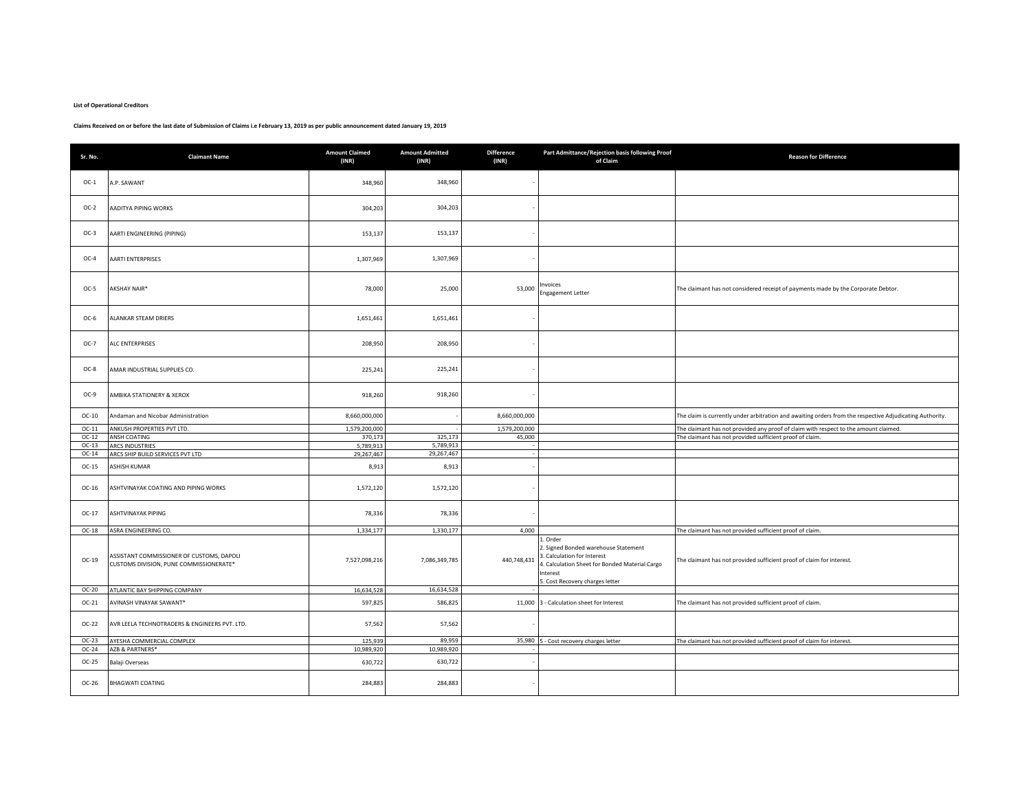## **List of Operational Creditors**

## **Claims Received on or before the last date of Submission of Claims i.e February 13, 2019 as per public announcement dated January 19, 2019**

| Sr. No. | <b>Claimant Name</b>                                                                 | <b>Amount Claimed</b><br>(INR) | <b>Amount Admitted</b><br>(INR) | <b>Difference</b><br>(INR) | Part Admittance/Rejection basis following Proof<br>of Claim                                                                                                                 | <b>Reason for Difference</b>                                                                             |
|---------|--------------------------------------------------------------------------------------|--------------------------------|---------------------------------|----------------------------|-----------------------------------------------------------------------------------------------------------------------------------------------------------------------------|----------------------------------------------------------------------------------------------------------|
| $OC-1$  | A.P. SAWANT                                                                          | 348,960                        | 348,960                         |                            |                                                                                                                                                                             |                                                                                                          |
| $OC-2$  | AADITYA PIPING WORKS                                                                 | 304,203                        | 304,203                         |                            |                                                                                                                                                                             |                                                                                                          |
| $OC-3$  | AARTI ENGINEERING (PIPING)                                                           | 153,137                        | 153,137                         |                            |                                                                                                                                                                             |                                                                                                          |
| $OC-4$  | <b>AARTI ENTERPRISES</b>                                                             | 1,307,969                      | 1,307,969                       |                            |                                                                                                                                                                             |                                                                                                          |
| $OC-5$  | AKSHAY NAIR*                                                                         | 78,000                         | 25,000                          | 53,000                     | nvoices<br><b>Engagement Letter</b>                                                                                                                                         | The claimant has not considered receipt of payments made by the Corporate Debtor.                        |
| $OC-6$  | ALANKAR STEAM DRIERS                                                                 | 1,651,461                      | 1,651,461                       |                            |                                                                                                                                                                             |                                                                                                          |
| $OC-7$  | ALC ENTERPRISES                                                                      | 208,950                        | 208,950                         |                            |                                                                                                                                                                             |                                                                                                          |
| OC-8    | AMAR INDUSTRIAL SUPPLIES CO.                                                         | 225,241                        | 225,241                         |                            |                                                                                                                                                                             |                                                                                                          |
| OC-9    | AMBIKA STATIONERY & XEROX                                                            | 918,260                        | 918,260                         |                            |                                                                                                                                                                             |                                                                                                          |
| $OC-10$ | Andaman and Nicobar Administration                                                   | 8,660,000,000                  |                                 | 8,660,000,000              |                                                                                                                                                                             | The claim is currently under arbitration and awaiting orders from the respective Adjudicating Authority. |
| $OC-11$ | ANKUSH PROPERTIES PVT LTD.                                                           | 1,579,200,000                  |                                 | 1,579,200,000              |                                                                                                                                                                             | The claimant has not provided any proof of claim with respect to the amount claimed.                     |
| $OC-12$ | ANSH COATING                                                                         | 370,173                        | 325,173                         | 45,000                     |                                                                                                                                                                             | The claimant has not provided sufficient proof of claim                                                  |
| $OC-13$ | <b>ARCS INDUSTRIES</b>                                                               | 5,789,913                      | 5,789,913                       |                            |                                                                                                                                                                             |                                                                                                          |
| $OC-14$ | ARCS SHIP BUILD SERVICES PVT LTD                                                     | 29,267,467                     | 29,267,467                      |                            |                                                                                                                                                                             |                                                                                                          |
| $OC-15$ | ASHISH KUMAR                                                                         | 8,913                          | 8,913                           |                            |                                                                                                                                                                             |                                                                                                          |
| $OC-16$ | ASHTVINAYAK COATING AND PIPING WORKS                                                 | 1,572,120                      | 1,572,120                       |                            |                                                                                                                                                                             |                                                                                                          |
| $OC-17$ | ASHTVINAYAK PIPING                                                                   | 78,336                         | 78,336                          |                            |                                                                                                                                                                             |                                                                                                          |
| $OC-18$ | ASRA ENGINEERING CO.                                                                 | 1,334,177                      | 1,330,177                       | 4,000                      |                                                                                                                                                                             | The claimant has not provided sufficient proof of claim.                                                 |
| $OC-19$ | ASSISTANT COMMISSIONER OF CUSTOMS, DAPOLI<br>CUSTOMS DIVISION, PUNE COMMISSIONERATE* | 7,527,098,216                  | 7,086,349,785                   | 440,748,431                | Order<br>2. Signed Bonded warehouse Statement<br>. Calculation for Interest<br>. Calculation Sheet for Bonded Material Cargo<br>Interest<br>5. Cost Recovery charges letter | The claimant has not provided sufficient proof of claim for interest.                                    |
| $OC-20$ | ATLANTIC BAY SHIPPING COMPANY                                                        | 16,634,528                     | 16,634,528                      |                            |                                                                                                                                                                             |                                                                                                          |
| $OC-21$ | AVINASH VINAYAK SAWANT*                                                              | 597,825                        | 586,825                         |                            | 11,000 3 - Calculation sheet for Interest                                                                                                                                   | The claimant has not provided sufficient proof of claim.                                                 |
| $OC-22$ | AVR LEELA TECHNOTRADERS & ENGINEERS PVT. LTD.                                        | 57,562                         | 57,562                          |                            |                                                                                                                                                                             |                                                                                                          |
| $OC-23$ | AYESHA COMMERCIAL COMPLEX                                                            | 125,939                        | 89.959                          |                            | 35,980 5 - Cost recovery charges letter                                                                                                                                     | The claimant has not provided sufficient proof of claim for interest.                                    |
| $OC-24$ | AZB & PARTNERS*                                                                      | 10,989,920                     | 10,989,920                      |                            |                                                                                                                                                                             |                                                                                                          |
| $OC-25$ | Balaji Overseas                                                                      | 630,722                        | 630,722                         |                            |                                                                                                                                                                             |                                                                                                          |
| OC-26   | BHAGWATI COATING                                                                     | 284,883                        | 284,883                         |                            |                                                                                                                                                                             |                                                                                                          |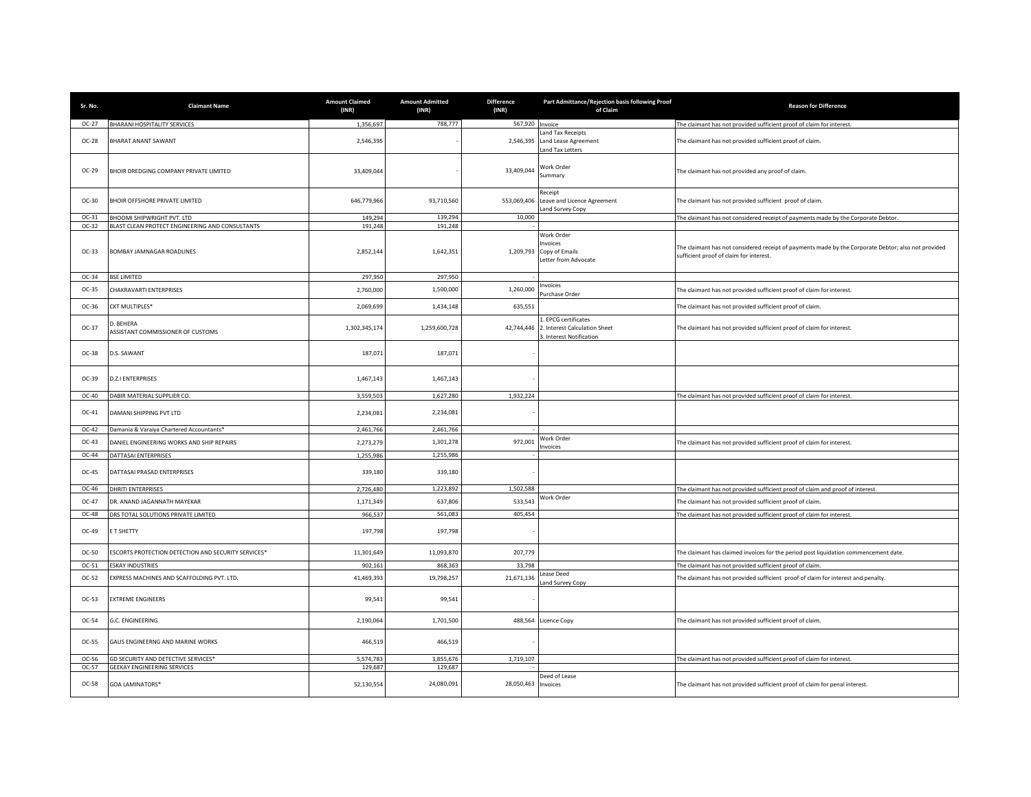| Sr. No. | <b>Claimant Name</b>                                | <b>Amount Claimed</b><br>(INR) | <b>Amount Admitted</b><br>(INR) | <b>Difference</b><br>(INR) | Part Admittance/Rejection basis following Proof<br>of Claim                       | <b>Reason for Difference</b>                                                                                                                   |
|---------|-----------------------------------------------------|--------------------------------|---------------------------------|----------------------------|-----------------------------------------------------------------------------------|------------------------------------------------------------------------------------------------------------------------------------------------|
| $OC-27$ | BHARANI HOSPITALITY SERVICES                        | 1,356,697                      | 788,777                         | 567,920 Invoice            |                                                                                   | The claimant has not provided sufficient proof of claim for interest.                                                                          |
| OC-28   | BHARAT ANANT SAWANT                                 | 2,546,395                      |                                 | 2,546,395                  | and Tax Receipts<br>Land Lease Agreement<br>and Tax Letters                       | The claimant has not provided sufficient proof of claim.                                                                                       |
| $OC-29$ | BHOIR DREDGING COMPANY PRIVATE LIMITED              | 33,409,044                     |                                 | 33,409,044                 | Work Order<br>Summary                                                             | The claimant has not provided any proof of claim.                                                                                              |
| $OC-30$ | BHOIR OFFSHORE PRIVATE LIMITED                      | 646,779,966                    | 93,710,560                      | 553,069,406                | Receipt<br>Leave and Licence Agreement<br>and Survey Copy                         | The claimant has not provided sufficient proof of claim.                                                                                       |
| $OC-31$ | BHOOMI SHIPWRIGHT PVT. LTD                          | 149,294                        | 139,294                         | 10,000                     |                                                                                   | The claimant has not considered receipt of payments made by the Corporate Debtor.                                                              |
| OC-32   | BLAST CLEAN PROTECT ENGINEERING AND CONSULTANTS     | 191,248                        | 191,248                         |                            |                                                                                   |                                                                                                                                                |
| $OC-33$ | BOMBAY JAMNAGAR ROADLINES                           | 2,852,144                      | 1,642,351                       | 1,209,793                  | <b>Nork Order</b><br>nvoices<br>Copy of Emails<br>Letter from Advocate            | The claimant has not considered receipt of payments made by the Corporate Debtor; also not provided<br>sufficient proof of claim for interest. |
| $OC-34$ | SE LIMITED                                          | 297,950                        | 297.950                         |                            |                                                                                   |                                                                                                                                                |
| OC-35   | CHAKRAVARTI ENTERPRISES                             | 2,760,000                      | 1,500,000                       | 1,260,000                  | <b>voices</b><br>urchase Order                                                    | The claimant has not provided sufficient proof of claim for interest.                                                                          |
| OC-36   | <b>CKT MULTIPLES*</b>                               | 2,069,699                      | 1,434,148                       | 635,551                    |                                                                                   | The claimant has not provided sufficient proof of claim.                                                                                       |
| OC-37   | D. BEHERA<br>ASSISTANT COMMISSIONER OF CUSTOMS      | 1,302,345,174                  | 1,259,600,728                   | 42,744,446                 | 1. EPCG certificates<br>2. Interest Calculation Sheet<br>3. Interest Notification | The claimant has not provided sufficient proof of claim for interest.                                                                          |
| $OC-38$ | D.S. SAWANT                                         | 187,071                        | 187,071                         |                            |                                                                                   |                                                                                                                                                |
| $OC-39$ | <b>D.Z.I ENTERPRISES</b>                            | 1,467,143                      | 1,467,143                       |                            |                                                                                   |                                                                                                                                                |
| OC-40   | DABIR MATERIAL SUPPLIER CO.                         | 3,559,503                      | 1,627,280                       | 1,932,224                  |                                                                                   | The claimant has not provided sufficient proof of claim for interest.                                                                          |
| OC-41   | DAMANI SHIPPING PVT LTD                             | 2,234,081                      | 2,234,081                       |                            |                                                                                   |                                                                                                                                                |
| OC-42   | Damania & Varaiya Chartered Accountants*            | 2,461,766                      | 2,461,766                       |                            |                                                                                   |                                                                                                                                                |
| $OC-43$ | DANIEL ENGINEERING WORKS AND SHIP REPAIRS           | 2,273,279                      | 1,301,278                       | 972,001                    | <b>Nork Order</b><br>nvoices                                                      | The claimant has not provided sufficient proof of claim for interest.                                                                          |
| OC-44   | DATTASAI ENTERPRISES                                | 1,255,986                      | 1,255,986                       |                            |                                                                                   |                                                                                                                                                |
| $OC-45$ | DATTASAI PRASAD ENTERPRISES                         | 339,180                        | 339,180                         |                            |                                                                                   |                                                                                                                                                |
| OC-46   | DHRITI ENTERPRISES                                  | 2,726,480                      | 1,223,892                       | 1,502,588                  |                                                                                   | The claimant has not provided sufficient proof of claim and proof of interest.                                                                 |
| OC-47   | DR. ANAND JAGANNATH MAYEKAR                         | 1,171,349                      | 637,806                         | 533,543                    | <b>Nork Order</b>                                                                 | The claimant has not provided sufficient proof of claim                                                                                        |
| OC-48   | DRS TOTAL SOLUTIONS PRIVATE LIMITED                 | 966,537                        | 561,083                         | 405,454                    |                                                                                   | The claimant has not provided sufficient proof of claim for interest.                                                                          |
| OC-49   | E T SHETTY                                          | 197,798                        | 197,798                         |                            |                                                                                   |                                                                                                                                                |
| OC-50   | ESCORTS PROTECTION DETECTION AND SECURITY SERVICES* | 11,301,649                     | 11,093,870                      | 207,779                    |                                                                                   | The claimant has claimed invoices for the period post liquidation commencement date.                                                           |
| OC-51   | <b>SKAY INDUSTRIES</b>                              | 902,161                        | 868,363                         | 33,798                     |                                                                                   | The claimant has not provided sufficient proof of claim                                                                                        |
| OC-52   | EXPRESS MACHINES AND SCAFFOLDING PVT. LTD.          | 41,469,393                     | 19,798,257                      | 21,671,136                 | ease Deed<br>and Survey Copy                                                      | The claimant has not provided sufficient proof of claim for interest and penalty.                                                              |
| $OC-53$ | <b>EXTREME ENGINEERS</b>                            | 99,541                         | 99,541                          |                            |                                                                                   |                                                                                                                                                |
| OC-54   | G.C. ENGINEERING                                    | 2,190,064                      | 1,701,500                       | 488,564                    | Licence Copy                                                                      | The claimant has not provided sufficient proof of claim                                                                                        |
| OC-55   | GAUS ENGINEERNG AND MARINE WORKS                    | 466,519                        | 466,519                         |                            |                                                                                   |                                                                                                                                                |
| OC-56   | GD SECURITY AND DETECTIVE SERVICES*                 | 5,574,783                      | 3,855,676                       | 1,719,107                  |                                                                                   | The claimant has not provided sufficient proof of claim for interest.                                                                          |
| OC-57   | <b>GEEKAY ENGINEERING SERVICES</b>                  | 129,687                        | 129,687                         |                            |                                                                                   |                                                                                                                                                |
| OC-58   | <b>GOA LAMINATORS*</b>                              | 52,130,554                     | 24,080,091                      | 28,050,463                 | Deed of Lease<br>Invoices                                                         | The claimant has not provided sufficient proof of claim for penal interest.                                                                    |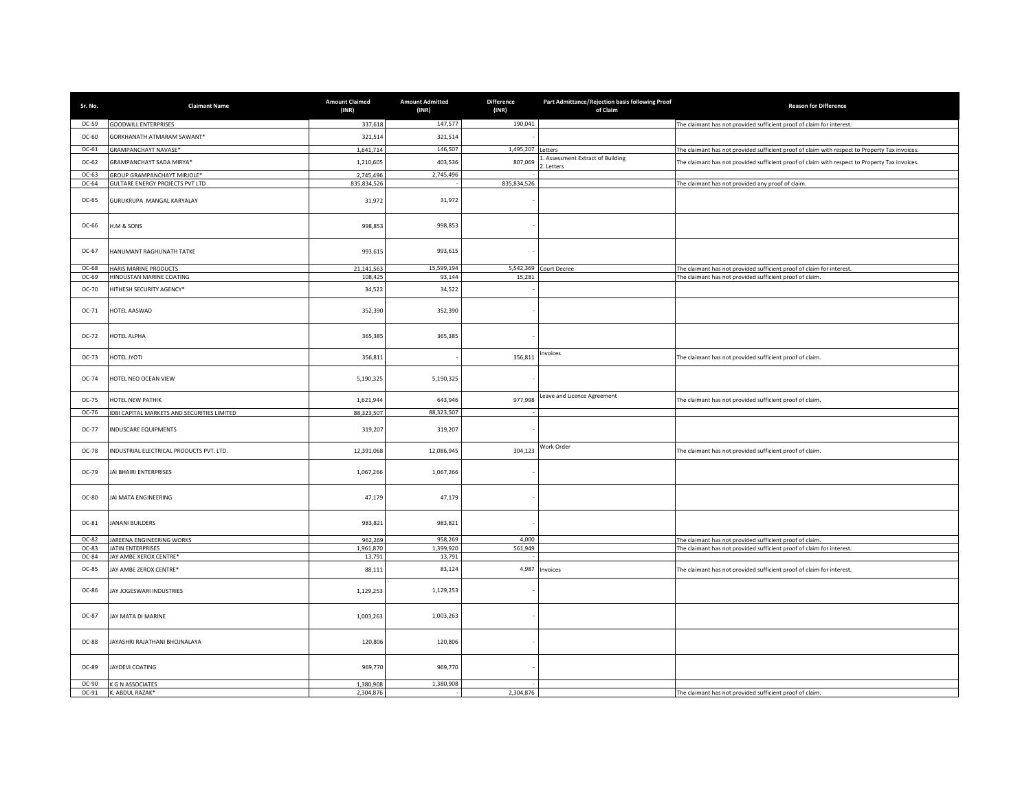| Sr. No.          | <b>Claimant Name</b>                                                  | <b>Amount Claimed</b><br>(INR) | <b>Amount Admitted</b><br>(INR) | <b>Difference</b><br>(INR) | Part Admittance/Rejection basis following Proof<br>of Claim | <b>Reason for Difference</b>                                                                   |
|------------------|-----------------------------------------------------------------------|--------------------------------|---------------------------------|----------------------------|-------------------------------------------------------------|------------------------------------------------------------------------------------------------|
| $OC-59$          | <b>GOODWILL ENTERPRISES</b>                                           | 337,618                        | 147,577                         | 190,041                    |                                                             | The claimant has not provided sufficient proof of claim for interest.                          |
| OC-60            | GORKHANATH ATMARAM SAWANT*                                            | 321,514                        | 321,514                         |                            |                                                             |                                                                                                |
| $OC-61$          | <b>GRAMPANCHAYT NAVASE*</b>                                           | 1,641,714                      | 146,507                         | 1,495,207                  | etters                                                      | The claimant has not provided sufficient proof of claim with respect to Property Tax invoices. |
| OC-62            | GRAMPANCHAYT SADA MIRYA*                                              | 1,210,605                      | 403,536                         | 807,069                    | . Assessment Extract of Building<br>. Letters               | The claimant has not provided sufficient proof of claim with respect to Property Tax invoices. |
| $OC-63$<br>OC-64 | GROUP GRAMPANCHAYT MIRJOLE*<br><b>GULTARE ENERGY PROJECTS PVT LTD</b> | 2,745,496<br>835,834,526       | 2,745,496                       | 835,834,526                |                                                             | The claimant has not provided any proof of claim.                                              |
|                  |                                                                       |                                |                                 |                            |                                                             |                                                                                                |
| OC-65            | GURUKRUPA MANGAL KARYALAY                                             | 31,972                         | 31,972                          |                            |                                                             |                                                                                                |
| OC-66            | H.M & SONS                                                            | 998,853                        | 998,853                         |                            |                                                             |                                                                                                |
| OC-67            | HANUMANT RAGHUNATH TATKE                                              | 993,615                        | 993,615                         |                            |                                                             |                                                                                                |
| OC-68            | <b>HARIS MARINE PRODUCTS</b>                                          | 21,141,563                     | 15,599,194                      |                            | 5,542,369 Court Decree                                      | The claimant has not provided sufficient proof of claim for interest.                          |
| OC-69            | HINDUSTAN MARINE COATING                                              | 108,425                        | 93,144                          | 15,281                     |                                                             | The claimant has not provided sufficient proof of claim.                                       |
| OC-70            | HITHESH SECURITY AGENCY*                                              | 34,522                         | 34,522                          |                            |                                                             |                                                                                                |
| $OC-71$          | HOTEL AASWAD                                                          | 352,390                        | 352,390                         |                            |                                                             |                                                                                                |
| OC-72            | <b>HOTEL ALPHA</b>                                                    | 365,385                        | 365,385                         |                            |                                                             |                                                                                                |
| OC-73            | <b>HOTEL JYOTI</b>                                                    | 356,811                        |                                 | 356,811                    | nvoices                                                     | The claimant has not provided sufficient proof of claim.                                       |
| OC-74            | HOTEL NEO OCEAN VIEW                                                  | 5,190,325                      | 5,190,325                       |                            |                                                             |                                                                                                |
| OC-75            | HOTEL NEW PATHIK                                                      | 1,621,944                      | 643,946                         | 977,998                    | Leave and Licence Agreement                                 | The claimant has not provided sufficient proof of claim.                                       |
| OC-76            | IDBI CAPITAL MARKETS AND SECURITIES LIMITED                           | 88,323,507                     | 88,323,507                      |                            |                                                             |                                                                                                |
| OC-77            | INDUSCARE EQUIPMENTS                                                  | 319,207                        | 319,207                         |                            |                                                             |                                                                                                |
| OC-78            | NDUSTRIAL ELECTRICAL PRODUCTS PVT. LTD.                               | 12,391,068                     | 12,086,945                      | 304,123                    | Work Order                                                  | The claimant has not provided sufficient proof of claim.                                       |
| OC-79            | JAI BHAIRI ENTERPRISES                                                | 1,067,266                      | 1,067,266                       |                            |                                                             |                                                                                                |
| OC-80            | AI MATA ENGINEERING                                                   | 47,179                         | 47,179                          |                            |                                                             |                                                                                                |
| OC-81            | ANANI BUILDERS                                                        | 983,821                        | 983,821                         |                            |                                                             |                                                                                                |
| OC-82            | JAREENA ENGINEERING WORKS                                             | 962,269                        | 958,269                         | 4,000                      |                                                             | The claimant has not provided sufficient proof of claim.                                       |
| OC-83<br>OC-84   | JATIN ENTERPRISES<br>JAY AMBE XEROX CENTRE*                           | 1,961,870<br>13,791            | 1,399,920<br>13,791             | 561,949                    |                                                             | The claimant has not provided sufficient proof of claim for interest.                          |
| OC-85            | JAY AMBE ZEROX CENTRE*                                                | 88,111                         | 83,124                          | 4,987                      | Invoices                                                    | The claimant has not provided sufficient proof of claim for interest.                          |
| OC-86            | JAY JOGESWARI INDUSTRIES                                              | 1,129,253                      | 1,129,253                       |                            |                                                             |                                                                                                |
| OC-87            | JAY MATA DI MARINE                                                    | 1,003,263                      | 1,003,263                       |                            |                                                             |                                                                                                |
| OC-88            | JAYASHRI RAJATHANI BHOJNALAYA                                         | 120,806                        | 120,806                         |                            |                                                             |                                                                                                |
| OC-89            | JAYDEVI COATING                                                       | 969,770                        | 969,770                         |                            |                                                             |                                                                                                |
| OC-90            | K G N ASSOCIATES                                                      | 1,380,908                      | 1,380,908                       |                            |                                                             |                                                                                                |
| OC-91            | K. ABDUL RAZAK*                                                       | 2,304,876                      |                                 | 2,304,876                  |                                                             | The claimant has not provided sufficient proof of claim.                                       |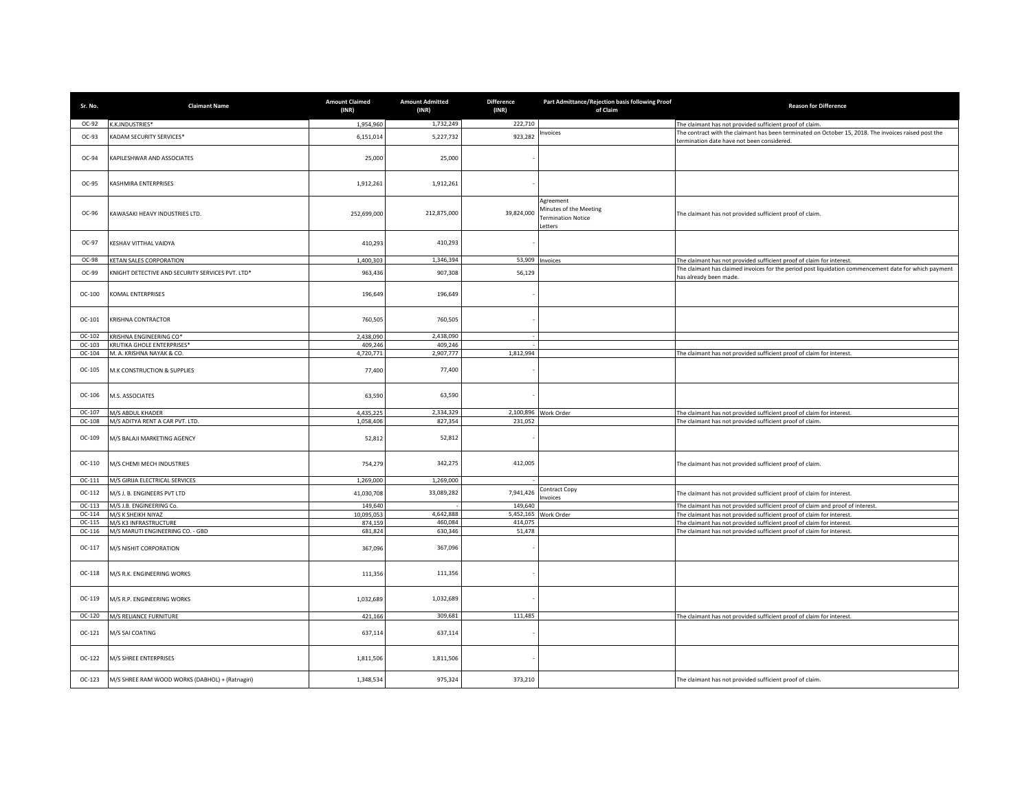| Sr. No.            | <b>Claimant Name</b>                                       | <b>Amount Claimed</b><br>(INR) | <b>Amount Admitted</b><br>(INR) | <b>Difference</b><br>(INR) | Part Admittance/Rejection basis following Proof<br>of Claim                | <b>Reason for Difference</b>                                                                                                                       |
|--------------------|------------------------------------------------------------|--------------------------------|---------------------------------|----------------------------|----------------------------------------------------------------------------|----------------------------------------------------------------------------------------------------------------------------------------------------|
| OC-92              | K.K.INDUSTRIES*                                            | 1,954,960                      | 1,732,249                       | 222,710                    |                                                                            | The claimant has not provided sufficient proof of claim.                                                                                           |
| OC-93              | KADAM SECURITY SERVICES*                                   | 6,151,014                      | 5,227,732                       | 923,282                    | nvoices                                                                    | The contract with the claimant has been terminated on October 15, 2018. The invoices raised post the<br>termination date have not been considered. |
| OC-94              | <b>KAPILESHWAR AND ASSOCIATES</b>                          | 25,000                         | 25,000                          |                            |                                                                            |                                                                                                                                                    |
| OC-95              | KASHMIRA ENTERPRISES                                       | 1,912,261                      | 1,912,261                       |                            |                                                                            |                                                                                                                                                    |
| OC-96              | KAWASAKI HEAVY INDUSTRIES LTD.                             | 252,699,000                    | 212,875,000                     | 39,824,000                 | Agreement<br>Minutes of the Meeting<br><b>Fermination Notice</b><br>etters | The claimant has not provided sufficient proof of claim.                                                                                           |
| OC-97              | KESHAV VITTHAL VAIDYA                                      | 410,293                        | 410,293                         |                            |                                                                            |                                                                                                                                                    |
| OC-98              | KETAN SALES CORPORATION                                    | 1,400,303                      | 1,346,394                       | 53,909                     | nvoices                                                                    | The claimant has not provided sufficient proof of claim for interest.                                                                              |
| OC-99              | KNIGHT DETECTIVE AND SECURITY SERVICES PVT. LTD*           | 963,436                        | 907,308                         | 56,129                     |                                                                            | The claimant has claimed invoices for the period post liquidation commencement date for which payment                                              |
| OC-100             | KOMAL ENTERPRISES                                          | 196,649                        | 196,649                         |                            |                                                                            | has already been made.                                                                                                                             |
| $OC-101$           | KRISHNA CONTRACTOR                                         | 760,505                        | 760,505                         |                            |                                                                            |                                                                                                                                                    |
| OC-102             | KRISHNA ENGINEERING CO*                                    | 2,438,090                      | 2,438,090                       |                            |                                                                            |                                                                                                                                                    |
| $OC-103$<br>OC-104 | KRUTIKA GHOLE ENTERPRISES*<br>M. A. KRISHNA NAYAK & CO.    | 409,246<br>4,720,771           | 409,246<br>2,907,777            | 1,812,994                  |                                                                            | The claimant has not provided sufficient proof of claim for interest.                                                                              |
| OC-105             | M.K CONSTRUCTION & SUPPLIES                                | 77,400                         | 77,400                          |                            |                                                                            |                                                                                                                                                    |
| OC-106             | M.S. ASSOCIATES                                            | 63,590                         | 63,590                          |                            |                                                                            |                                                                                                                                                    |
| OC-107             | M/S ABDUL KHADER                                           | 4.435.225                      | 2.334.329                       |                            | 2,100,896 Work Order                                                       | The claimant has not provided sufficient proof of claim for interest.                                                                              |
| OC-108             | M/S ADITYA RENT A CAR PVT. LTD.                            | 1,058,406                      | 827,354                         | 231,052                    |                                                                            | The claimant has not provided sufficient proof of claim                                                                                            |
| $OC-109$           | M/S BALAJI MARKETING AGENCY                                | 52,812                         | 52,812                          |                            |                                                                            |                                                                                                                                                    |
| OC-110             | M/S CHEMI MECH INDUSTRIES                                  | 754,279                        | 342,275                         | 412,005                    |                                                                            | The claimant has not provided sufficient proof of claim.                                                                                           |
| $OC-111$           | M/S GIRIJA ELECTRICAL SERVICES                             | 1.269.000                      | 1,269,000                       |                            |                                                                            |                                                                                                                                                    |
| $OC-112$           | M/S J. B. ENGINEERS PVT LTD                                | 41,030,708                     | 33,089,282                      | 7,941,426                  | Contract Copy<br><b>voices</b>                                             | The claimant has not provided sufficient proof of claim for interest.                                                                              |
| $OC-113$           | M/S J.B. ENGINEERING Co.                                   | 149,640                        |                                 | 149,640                    |                                                                            | The claimant has not provided sufficient proof of claim and proof of interest.                                                                     |
| OC-114             | M/S K SHEIKH NIYAZ                                         | 10,095,053                     | 4,642,888                       | 5,452,165                  | Work Order                                                                 | The claimant has not provided sufficient proof of claim for interest.                                                                              |
| OC-115             | M/S K3 INFRASTRUCTURE                                      | 874,159                        | 460.084                         | 414,075                    |                                                                            | The claimant has not provided sufficient proof of claim for interest.                                                                              |
| OC-116<br>OC-117   | M/S MARUTI ENGINEERING CO. - GBD<br>M/S NISHIT CORPORATION | 681,824<br>367,096             | 630,346<br>367,096              | 51,478                     |                                                                            | The claimant has not provided sufficient proof of claim for interest.                                                                              |
| OC-118             | M/S R.K. ENGINEERING WORKS                                 | 111,356                        | 111,356                         |                            |                                                                            |                                                                                                                                                    |
| $OC-119$           | M/S R.P. ENGINEERING WORKS                                 | 1,032,689                      | 1,032,689                       |                            |                                                                            |                                                                                                                                                    |
| OC-120             | M/S RELIANCE FURNITURE                                     | 421,166                        | 309,681                         | 111.485                    |                                                                            | The claimant has not provided sufficient proof of claim for interest.                                                                              |
| OC-121             | M/S SAI COATING                                            | 637,114                        | 637,114                         |                            |                                                                            |                                                                                                                                                    |
| OC-122             | M/S SHREE ENTERPRISES                                      | 1,811,506                      | 1,811,506                       |                            |                                                                            |                                                                                                                                                    |
| OC-123             | M/S SHREE RAM WOOD WORKS (DABHOL) + (Ratnagiri)            | 1,348,534                      | 975,324                         | 373,210                    |                                                                            | The claimant has not provided sufficient proof of claim.                                                                                           |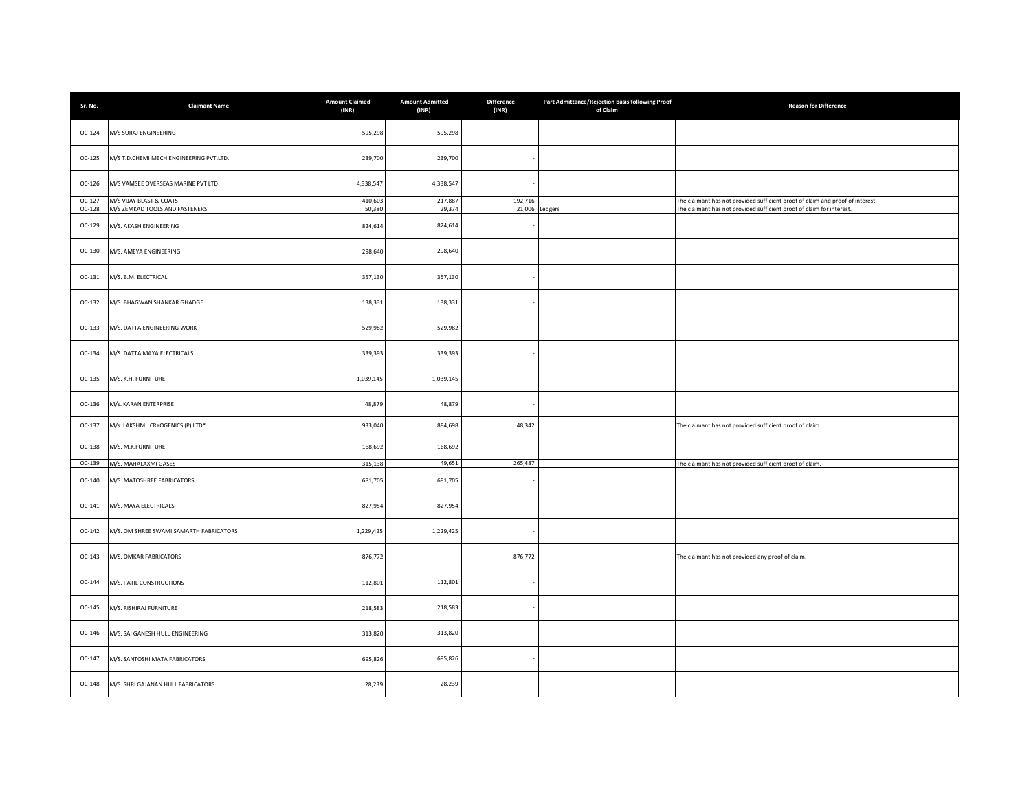| Sr. No.            | <b>Claimant Name</b>                                     | <b>Amount Claimed</b><br>(INR) | <b>Amount Admitted</b><br>(INR) | <b>Difference</b><br>(INR) | Part Admittance/Rejection basis following Proof<br>of Claim | <b>Reason for Difference</b>                                                   |
|--------------------|----------------------------------------------------------|--------------------------------|---------------------------------|----------------------------|-------------------------------------------------------------|--------------------------------------------------------------------------------|
| OC-124             | M/S SURAJ ENGINEERING                                    | 595,298                        | 595,298                         |                            |                                                             |                                                                                |
| OC-125             | M/S T.D.CHEMI MECH ENGINEERING PVT.LTD.                  | 239,700                        | 239,700                         |                            |                                                             |                                                                                |
| OC-126             | M/S VAMSEE OVERSEAS MARINE PVT LTD                       | 4,338,547                      | 4,338,547                       |                            |                                                             |                                                                                |
| OC-127             | M/S VIJAY BLAST & COATS                                  | 410,603                        | 217,887                         | 192,716                    |                                                             | The claimant has not provided sufficient proof of claim and proof of interest. |
| $OC-128$<br>OC-129 | M/S ZEMKAD TOOLS AND FASTENERS<br>M/S. AKASH ENGINEERING | 50.380<br>824,614              | 29,374<br>824,614               |                            | 21,006 Ledgers                                              | The claimant has not provided sufficient proof of claim for interest.          |
| OC-130             | M/S. AMEYA ENGINEERING                                   | 298,640                        | 298,640                         |                            |                                                             |                                                                                |
| OC-131             | M/S. B.M. ELECTRICAL                                     | 357,130                        | 357,130                         |                            |                                                             |                                                                                |
| $OC-132$           | M/S. BHAGWAN SHANKAR GHADGE                              | 138,331                        | 138,331                         |                            |                                                             |                                                                                |
| OC-133             | M/S. DATTA ENGINEERING WORK                              | 529,982                        | 529,982                         |                            |                                                             |                                                                                |
| OC-134             | M/S. DATTA MAYA ELECTRICALS                              | 339,393                        | 339,393                         |                            |                                                             |                                                                                |
| OC-135             | M/S. K.H. FURNITURE                                      | 1,039,145                      | 1,039,145                       |                            |                                                             |                                                                                |
| OC-136             | M/s. KARAN ENTERPRISE                                    | 48,879                         | 48,879                          |                            |                                                             |                                                                                |
| $OC-137$           | M/s. LAKSHMI CRYOGENICS (P) LTD*                         | 933,040                        | 884,698                         | 48,342                     |                                                             | The claimant has not provided sufficient proof of claim.                       |
| OC-138             | M/S. M.K.FURNITURE                                       | 168,692                        | 168,692                         |                            |                                                             |                                                                                |
| OC-139             | M/S. MAHALAXMI GASES                                     | 315,138                        | 49,651                          | 265,487                    |                                                             | The claimant has not provided sufficient proof of claim.                       |
| OC-140             | M/S. MATOSHREE FABRICATORS                               | 681,705                        | 681,705                         |                            |                                                             |                                                                                |
| OC-141             | M/S. MAYA ELECTRICALS                                    | 827,954                        | 827,954                         |                            |                                                             |                                                                                |
| OC-142             | M/S. OM SHREE SWAMI SAMARTH FABRICATORS                  | 1,229,425                      | 1,229,425                       |                            |                                                             |                                                                                |
| $OC-143$           | M/S. OMKAR FABRICATORS                                   | 876,772                        |                                 | 876,772                    |                                                             | The claimant has not provided any proof of claim.                              |
| OC-144             | M/S. PATIL CONSTRUCTIONS                                 | 112,801                        | 112,801                         |                            |                                                             |                                                                                |
| OC-145             | M/S. RISHIRAJ FURNITURE                                  | 218,583                        | 218,583                         |                            |                                                             |                                                                                |
| OC-146             | M/S. SAI GANESH HULL ENGINEERING                         | 313,820                        | 313,820                         |                            |                                                             |                                                                                |
| OC-147             | M/S. SANTOSHI MATA FABRICATORS                           | 695,826                        | 695,826                         |                            |                                                             |                                                                                |
| OC-148             | M/S. SHRI GAJANAN HULL FABRICATORS                       | 28,239                         | 28,239                          |                            |                                                             |                                                                                |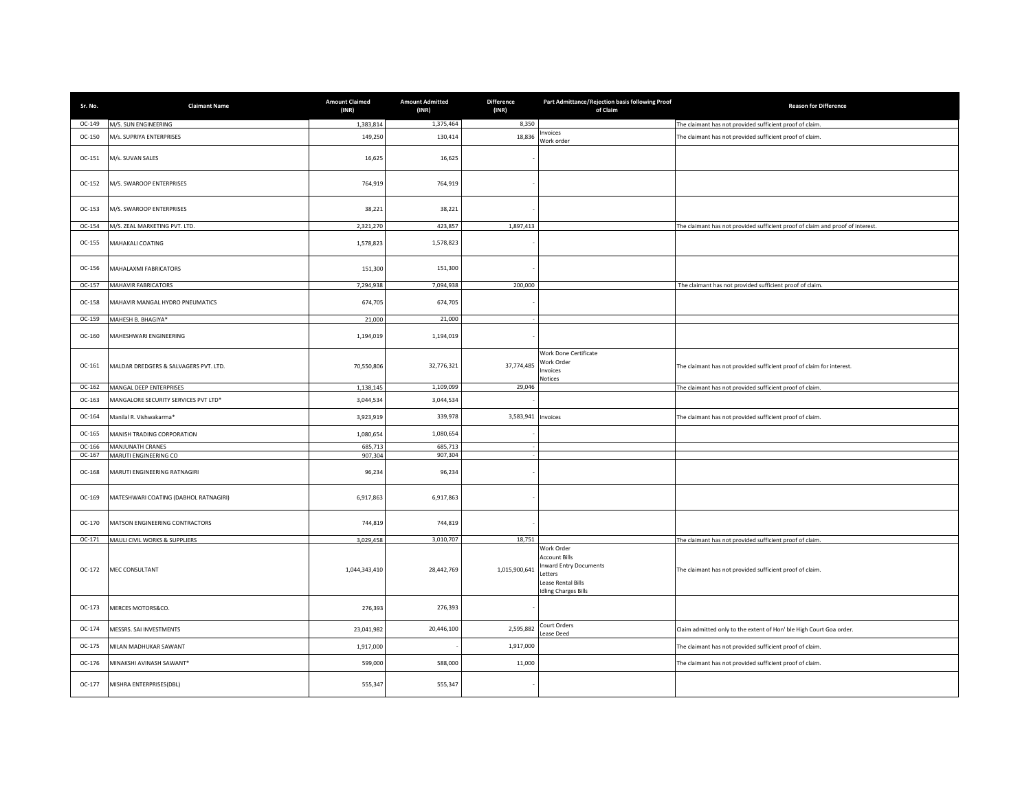| Sr. No.          | <b>Claimant Name</b>                           | <b>Amount Claimed</b><br>(INR) | <b>Amount Admitted</b><br>(INR) | Difference<br>(INR) | Part Admittance/Rejection basis following Proof<br>of Claim                                                          | <b>Reason for Difference</b>                                                   |
|------------------|------------------------------------------------|--------------------------------|---------------------------------|---------------------|----------------------------------------------------------------------------------------------------------------------|--------------------------------------------------------------------------------|
| OC-149           | M/S. SUN ENGINEERING                           | 1,383,814                      | 1,375,464                       | 8,350               |                                                                                                                      | The claimant has not provided sufficient proof of claim.                       |
| OC-150           | M/s. SUPRIYA ENTERPRISES                       | 149,250                        | 130,414                         | 18,836              | nvoices<br>Work order                                                                                                | The claimant has not provided sufficient proof of claim.                       |
| OC-151           | M/s. SUVAN SALES                               | 16,625                         | 16,625                          |                     |                                                                                                                      |                                                                                |
| OC-152           | M/S. SWAROOP ENTERPRISES                       | 764,919                        | 764,919                         |                     |                                                                                                                      |                                                                                |
| OC-153           | M/S. SWAROOP ENTERPRISES                       | 38,221                         | 38,221                          |                     |                                                                                                                      |                                                                                |
| OC-154           | M/S. ZEAL MARKETING PVT. LTD.                  | 2,321,270                      | 423,857                         | 1,897,413           |                                                                                                                      | The claimant has not provided sufficient proof of claim and proof of interest. |
| OC-155           | MAHAKALI COATING                               | 1,578,823                      | 1,578,823                       |                     |                                                                                                                      |                                                                                |
| OC-156           | MAHALAXMI FABRICATORS                          | 151,300                        | 151,300                         |                     |                                                                                                                      |                                                                                |
| OC-157           | MAHAVIR FABRICATORS                            | 7,294,938                      | 7,094,938                       | 200,000             |                                                                                                                      | The claimant has not provided sufficient proof of claim                        |
| OC-158           | MAHAVIR MANGAL HYDRO PNEUMATICS                | 674,705                        | 674,705                         |                     |                                                                                                                      |                                                                                |
| OC-159           | MAHESH B. BHAGIYA*                             | 21,000                         | 21,000                          |                     |                                                                                                                      |                                                                                |
| OC-160           | MAHESHWARI ENGINEERING                         | 1,194,019                      | 1,194,019                       |                     |                                                                                                                      |                                                                                |
| OC-161           | MALDAR DREDGERS & SALVAGERS PVT. LTD.          | 70,550,806                     | 32,776,321                      | 37,774,485          | Work Done Certificate<br>Work Order<br>nvoices<br>Votices                                                            | The claimant has not provided sufficient proof of claim for interest.          |
| OC-162           | MANGAL DEEP ENTERPRISES                        | 1,138,145                      | 1,109,099                       | 29,046              |                                                                                                                      | The claimant has not provided sufficient proof of claim                        |
| OC-163           | MANGALORE SECURITY SERVICES PVT LTD*           | 3,044,534                      | 3,044,534                       |                     |                                                                                                                      |                                                                                |
| OC-164           | Manilal R. Vishwakarma*                        | 3,923,919                      | 339,978                         | 3,583,941 Invoices  |                                                                                                                      | The claimant has not provided sufficient proof of claim.                       |
| OC-165<br>OC-166 | MANISH TRADING CORPORATION<br>MANJUNATH CRANES | 1,080,654<br>685,713           | 1,080,654<br>685,713            |                     |                                                                                                                      |                                                                                |
| OC-167           | MARUTI ENGINEERING CO                          | 907,304                        | 907,304                         |                     |                                                                                                                      |                                                                                |
| OC-168           | MARUTI ENGINEERING RATNAGIRI                   | 96,234                         | 96,234                          |                     |                                                                                                                      |                                                                                |
| OC-169           | MATESHWARI COATING (DABHOL RATNAGIRI)          | 6,917,863                      | 6,917,863                       |                     |                                                                                                                      |                                                                                |
| OC-170           | MATSON ENGINEERING CONTRACTORS                 | 744,819                        | 744,819                         |                     |                                                                                                                      |                                                                                |
| $OC-171$         | MAULI CIVIL WORKS & SUPPLIERS                  | 3,029,458                      | 3,010,707                       | 18,751              | Work Order                                                                                                           | The claimant has not provided sufficient proof of claim.                       |
| OC-172           | MEC CONSULTANT                                 | 1,044,343,410                  | 28,442,769                      | 1,015,900,641       | <b>Account Bills</b><br><b>Inward Entry Documents</b><br>etters<br>Lease Rental Bills<br><b>Idling Charges Bills</b> | The claimant has not provided sufficient proof of claim.                       |
| OC-173           | MERCES MOTORS&CO.                              | 276,393                        | 276,393                         |                     |                                                                                                                      |                                                                                |
| OC-174           | MESSRS. SAI INVESTMENTS                        | 23,041,982                     | 20,446,100                      | 2,595,882           | Court Orders<br>ease Deed                                                                                            | Claim admitted only to the extent of Hon' ble High Court Goa order.            |
| OC-175           | MILAN MADHUKAR SAWANT                          | 1,917,000                      |                                 | 1,917,000           |                                                                                                                      | The claimant has not provided sufficient proof of claim.                       |
| OC-176           | MINAKSHI AVINASH SAWANT*                       | 599,000                        | 588,000                         | 11,000              |                                                                                                                      | The claimant has not provided sufficient proof of claim.                       |
| OC-177           | MISHRA ENTERPRISES(DBL)                        | 555,347                        | 555,347                         |                     |                                                                                                                      |                                                                                |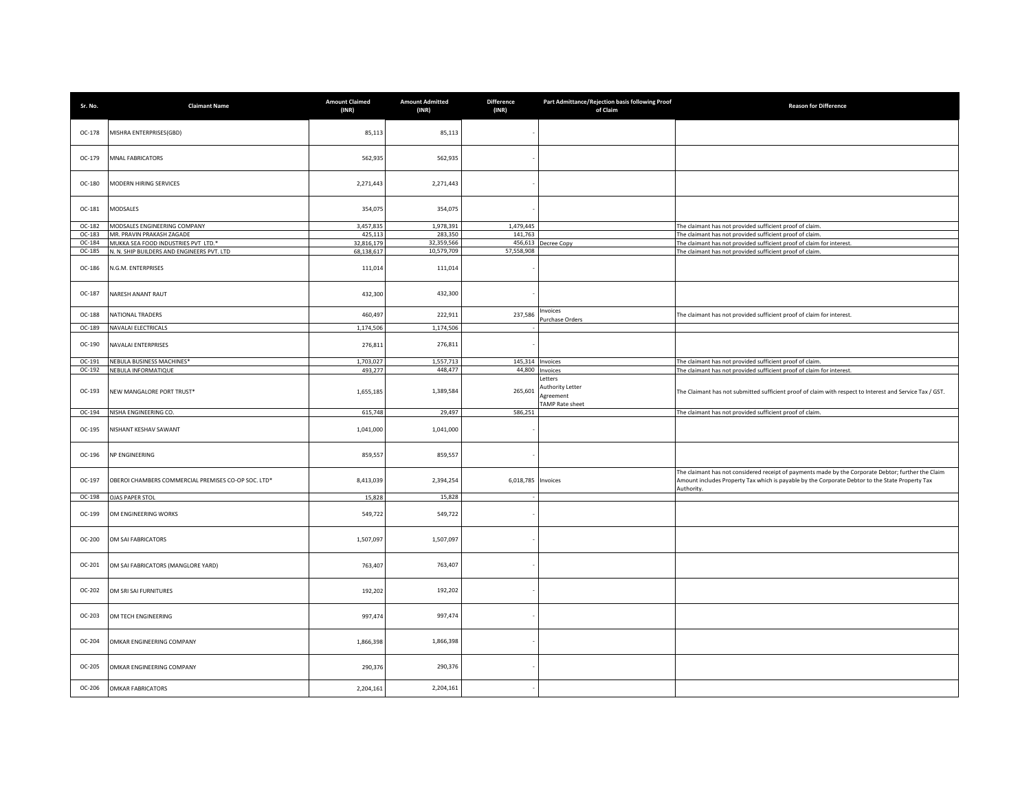| Sr. No. | <b>Claimant Name</b>                                | <b>Amount Claimed</b><br>(INR) | <b>Amount Admitted</b><br>(INR) | <b>Difference</b><br>(INR) | Part Admittance/Rejection basis following Proof<br>of Claim       | <b>Reason for Difference</b>                                                                                                                                                                                         |
|---------|-----------------------------------------------------|--------------------------------|---------------------------------|----------------------------|-------------------------------------------------------------------|----------------------------------------------------------------------------------------------------------------------------------------------------------------------------------------------------------------------|
| OC-178  | MISHRA ENTERPRISES(GBD)                             | 85,113                         | 85,113                          |                            |                                                                   |                                                                                                                                                                                                                      |
| OC-179  | <b>MNAL FABRICATORS</b>                             | 562,935                        | 562,935                         |                            |                                                                   |                                                                                                                                                                                                                      |
| OC-180  | MODERN HIRING SERVICES                              | 2,271,443                      | 2,271,443                       |                            |                                                                   |                                                                                                                                                                                                                      |
| OC-181  | MODSALES                                            | 354,075                        | 354,075                         |                            |                                                                   |                                                                                                                                                                                                                      |
| OC-182  | MODSALES ENGINEERING COMPANY                        | 3,457,835                      | 1,978,391                       | 1,479,445                  |                                                                   | The claimant has not provided sufficient proof of claim.                                                                                                                                                             |
| OC-183  | MR. PRAVIN PRAKASH ZAGADE                           | 425,113                        | 283,350                         | 141,763                    |                                                                   | The claimant has not provided sufficient proof of claim.                                                                                                                                                             |
| OC-184  | MUKKA SEA FOOD INDUSTRIES PVT LTD.*                 | 32,816,179                     | 32,359,566                      |                            | 456,613 Decree Copy                                               | The claimant has not provided sufficient proof of claim for interest.                                                                                                                                                |
| OC-185  | N. N. SHIP BUILDERS AND ENGINEERS PVT. LTD          | 68,138,617                     | 10,579,709                      | 57,558,908                 |                                                                   | The claimant has not provided sufficient proof of claim.                                                                                                                                                             |
| OC-186  | N.G.M. ENTERPRISES                                  | 111,014                        | 111,014                         |                            |                                                                   |                                                                                                                                                                                                                      |
| OC-187  | NARESH ANANT RAUT                                   | 432,300                        | 432,300                         |                            |                                                                   |                                                                                                                                                                                                                      |
| OC-188  | NATIONAL TRADERS                                    | 460,497                        | 222,911                         | 237,586                    | nvoices<br>urchase Orders                                         | The claimant has not provided sufficient proof of claim for interest.                                                                                                                                                |
| OC-189  | NAVALAI ELECTRICALS                                 | 1,174,506                      | 1,174,506                       |                            |                                                                   |                                                                                                                                                                                                                      |
| OC-190  | NAVALAI ENTERPRISES                                 | 276,811                        | 276,811                         |                            |                                                                   |                                                                                                                                                                                                                      |
| OC-191  | NEBULA BUSINESS MACHINES*                           | 1,703,027                      | 1,557,713                       |                            | 145,314 Invoices                                                  | The claimant has not provided sufficient proof of claim.                                                                                                                                                             |
| OC-192  | NEBULA INFORMATIQUE                                 | 493.277                        | 448,477                         |                            | 44,800 Invoices                                                   | The claimant has not provided sufficient proof of claim for interest.                                                                                                                                                |
| OC-193  | NEW MANGALORE PORT TRUST*                           | 1,655,185                      | 1,389,584                       | 265,601                    | Letters<br>uthority Letter<br>Agreement<br><b>TAMP Rate sheet</b> | The Claimant has not submitted sufficient proof of claim with respect to Interest and Service Tax / GST.                                                                                                             |
| OC-194  | NISHA ENGINEERING CO.                               | 615,748                        | 29,497                          | 586,251                    |                                                                   | The claimant has not provided sufficient proof of claim.                                                                                                                                                             |
| OC-195  | NISHANT KESHAV SAWANT                               | 1,041,000                      | 1,041,000                       |                            |                                                                   |                                                                                                                                                                                                                      |
| OC-196  | NP ENGINEERING                                      | 859,557                        | 859,557                         |                            |                                                                   |                                                                                                                                                                                                                      |
| OC-197  | OBEROI CHAMBERS COMMERCIAL PREMISES CO-OP SOC. LTD* | 8,413,039                      | 2,394,254                       | 6,018,785 Invoices         |                                                                   | The claimant has not considered receipt of payments made by the Corporate Debtor; further the Claim<br>Amount includes Property Tax which is payable by the Corporate Debtor to the State Property Tax<br>Authority. |
| OC-198  | <b>OJAS PAPER STOL</b>                              | 15,828                         | 15,828                          |                            |                                                                   |                                                                                                                                                                                                                      |
| OC-199  | OM ENGINEERING WORKS                                | 549,722                        | 549,722                         |                            |                                                                   |                                                                                                                                                                                                                      |
| OC-200  | OM SAI FABRICATORS                                  | 1,507,097                      | 1,507,097                       |                            |                                                                   |                                                                                                                                                                                                                      |
| OC-201  | OM SAI FABRICATORS (MANGLORE YARD)                  | 763,407                        | 763,407                         |                            |                                                                   |                                                                                                                                                                                                                      |
| OC-202  | OM SRI SAI FURNITURES                               | 192,202                        | 192,202                         |                            |                                                                   |                                                                                                                                                                                                                      |
| OC-203  | OM TECH ENGINEERING                                 | 997,474                        | 997,474                         |                            |                                                                   |                                                                                                                                                                                                                      |
| OC-204  | OMKAR ENGINEERING COMPANY                           | 1,866,398                      | 1,866,398                       |                            |                                                                   |                                                                                                                                                                                                                      |
| OC-205  | OMKAR ENGINEERING COMPANY                           | 290,376                        | 290,376                         |                            |                                                                   |                                                                                                                                                                                                                      |
| OC-206  | <b>OMKAR FABRICATORS</b>                            | 2,204,161                      | 2,204,161                       |                            |                                                                   |                                                                                                                                                                                                                      |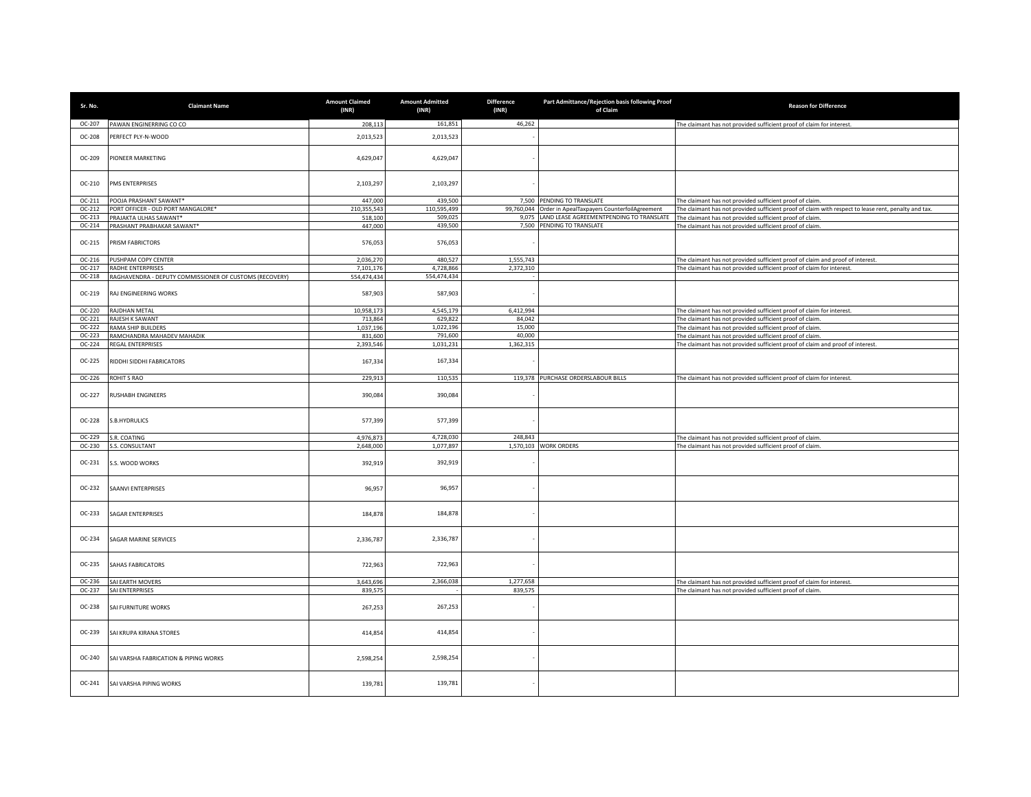| Sr. No.          | <b>Claimant Name</b>                                    | <b>Amount Claimed</b><br>(INR) | <b>Amount Admitted</b><br>(INR) | <b>Difference</b><br>(INR) | Part Admittance/Rejection basis following Proof<br>of Claim | <b>Reason for Difference</b>                                                                                                                                        |
|------------------|---------------------------------------------------------|--------------------------------|---------------------------------|----------------------------|-------------------------------------------------------------|---------------------------------------------------------------------------------------------------------------------------------------------------------------------|
| OC-207           | PAWAN ENGINERRING CO CO                                 | 208,113                        | 161,851                         | 46,262                     |                                                             | The claimant has not provided sufficient proof of claim for interest.                                                                                               |
| OC-208           | PERFECT PLY-N-WOOD                                      | 2,013,523                      | 2,013,523                       |                            |                                                             |                                                                                                                                                                     |
| OC-209           | PIONEER MARKETING                                       | 4,629,047                      | 4,629,047                       |                            |                                                             |                                                                                                                                                                     |
| OC-210           | PMS ENTERPRISES                                         | 2,103,297                      | 2,103,297                       |                            |                                                             |                                                                                                                                                                     |
| OC-211           | POOJA PRASHANT SAWANT*                                  | 447,000                        | 439,500                         |                            | 7,500 PENDING TO TRANSLATE                                  | The claimant has not provided sufficient proof of claim.                                                                                                            |
| OC-212           | PORT OFFICER - OLD PORT MANGALORE*                      | 210,355,543                    | 110,595,499                     |                            | 99,760,044 Order in ApealTaxpayers CounterfoilAgreement     | The claimant has not provided sufficient proof of claim with respect to lease rent, penalty and tax.                                                                |
| OC-213<br>OC-214 | PRAJAKTA ULHAS SAWANT*<br>PRASHANT PRABHAKAR SAWANT*    | 518,100<br>447,000             | 509,025<br>439,500              |                            | 7,500 PENDING TO TRANSLATE                                  | 9,075 LAND LEASE AGREEMENTPENDING TO TRANSLATE The claimant has not provided sufficient proof of claim.<br>The claimant has not provided sufficient proof of claim. |
| $OC-215$         | PRISM FABRICTORS                                        | 576,053                        | 576,053                         |                            |                                                             |                                                                                                                                                                     |
| OC-216           | PUSHPAM COPY CENTER                                     | 2,036,270                      | 480,527                         | 1,555,743                  |                                                             | The claimant has not provided sufficient proof of claim and proof of interest.                                                                                      |
| OC-217           | RADHE ENTERPRISES                                       | 7.101.176                      | 4,728,866                       | 2,372,310                  |                                                             | The claimant has not provided sufficient proof of claim for interest.                                                                                               |
| OC-218           | RAGHAVENDRA - DEPUTY COMMISSIONER OF CUSTOMS (RECOVERY) | 554.474.434                    | 554,474,434                     |                            |                                                             |                                                                                                                                                                     |
| OC-219           | RAJ ENGINEERING WORKS                                   | 587,903                        | 587,903                         |                            |                                                             |                                                                                                                                                                     |
| OC-220           | RAJDHAN METAL                                           | 10,958,173                     | 4,545,179                       | 6,412,994                  |                                                             | The claimant has not provided sufficient proof of claim for interest.                                                                                               |
| $OC-221$         | RAJESH K SAWANT                                         | 713,864                        | 629.822                         | 84.042                     |                                                             | The claimant has not provided sufficient proof of claim.                                                                                                            |
| OC-222           | RAMA SHIP BUILDERS                                      | 1,037,196                      | 1,022,196                       | 15,000                     |                                                             | The claimant has not provided sufficient proof of claim.                                                                                                            |
| OC-223<br>OC-224 | RAMCHANDRA MAHADEV MAHADIK<br>REGAL ENTERPRISES         | 831,600<br>2,393,546           | 791,600<br>1,031,231            | 40,000<br>1,362,315        |                                                             | The claimant has not provided sufficient proof of claim.<br>The claimant has not provided sufficient proof of claim and proof of interest.                          |
| OC-225           | RIDDHI SIDDHI FABRICATORS                               | 167,334                        | 167,334                         |                            |                                                             |                                                                                                                                                                     |
|                  |                                                         |                                |                                 |                            |                                                             |                                                                                                                                                                     |
| OC-226           | ROHIT S RAO                                             | 229,913                        | 110,535                         |                            | 119,378 PURCHASE ORDERSLABOUR BILLS                         | The claimant has not provided sufficient proof of claim for interest.                                                                                               |
| OC-227           | RUSHABH ENGINEERS                                       | 390,084                        | 390,084                         |                            |                                                             |                                                                                                                                                                     |
| OC-228           | S.B.HYDRULICS                                           | 577,399                        | 577,399                         |                            |                                                             |                                                                                                                                                                     |
| OC-229           | S.R. COATING                                            | 4.976.873                      | 4,728,030                       | 248,843                    |                                                             | The claimant has not provided sufficient proof of claim.                                                                                                            |
| OC-230           | S.S. CONSULTANT                                         | 2.648.000                      | 1.077.897                       |                            | 1,570,103 WORK ORDERS                                       | The claimant has not provided sufficient proof of claim.                                                                                                            |
| OC-231           | S.S. WOOD WORKS                                         | 392,919                        | 392,919                         |                            |                                                             |                                                                                                                                                                     |
| OC-232           | SAANVI ENTERPRISES                                      | 96,957                         | 96,957                          |                            |                                                             |                                                                                                                                                                     |
| OC-233           | <b>SAGAR ENTERPRISES</b>                                | 184,878                        | 184,878                         |                            |                                                             |                                                                                                                                                                     |
| OC-234           | SAGAR MARINE SERVICES                                   | 2,336,787                      | 2,336,787                       |                            |                                                             |                                                                                                                                                                     |
| OC-235           | SAHAS FABRICATORS                                       | 722,963                        | 722,963                         |                            |                                                             |                                                                                                                                                                     |
| OC-236           | SAI EARTH MOVERS                                        | 3,643,696                      | 2,366,038                       | 1,277,658                  |                                                             | The claimant has not provided sufficient proof of claim for interest.                                                                                               |
| OC-237           | SAI ENTERPRISES                                         | 839,575                        |                                 | 839,575                    |                                                             | The claimant has not provided sufficient proof of claim.                                                                                                            |
| OC-238           | SAI FURNITURE WORKS                                     | 267,253                        | 267,253                         |                            |                                                             |                                                                                                                                                                     |
| OC-239           | SAI KRUPA KIRANA STORES                                 | 414,854                        | 414,854                         |                            |                                                             |                                                                                                                                                                     |
| OC-240           | SAI VARSHA FABRICATION & PIPING WORKS                   | 2,598,254                      | 2,598,254                       |                            |                                                             |                                                                                                                                                                     |
| OC-241           | SAI VARSHA PIPING WORKS                                 | 139,781                        | 139,781                         |                            |                                                             |                                                                                                                                                                     |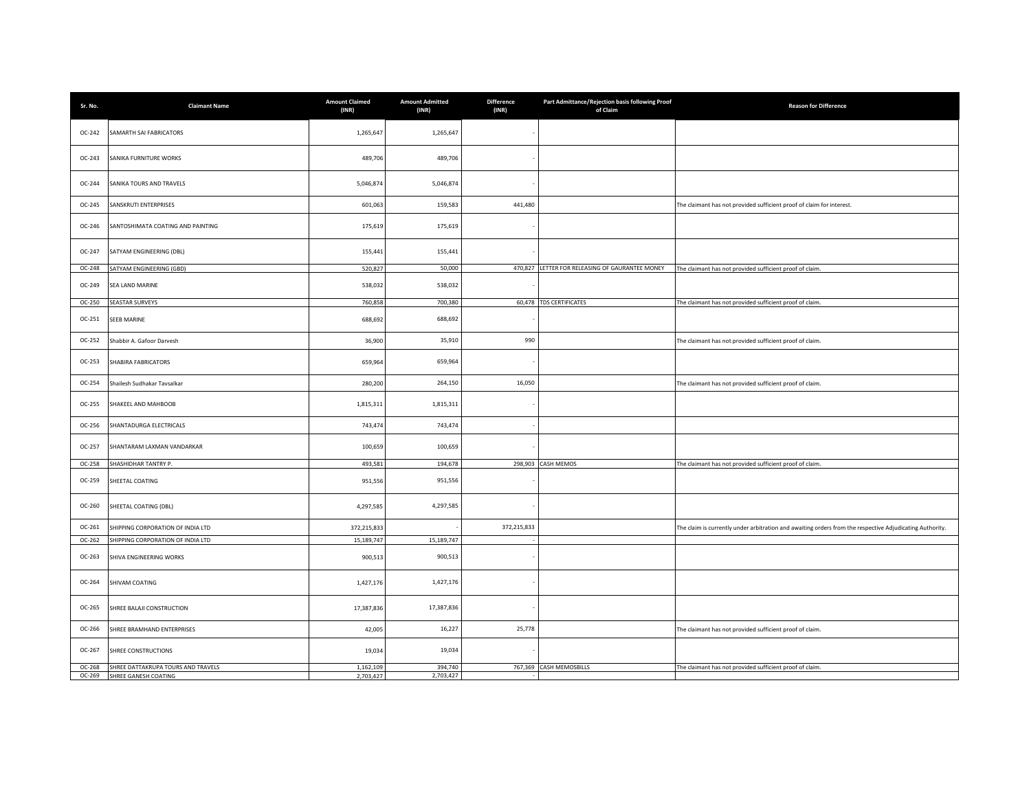| Sr. No.  | <b>Claimant Name</b>               | <b>Amount Claimed</b><br>(INR) | <b>Amount Admitted</b><br>(INR) | <b>Difference</b><br>(INR) | Part Admittance/Rejection basis following Proof<br>of Claim | <b>Reason for Difference</b>                                                                             |
|----------|------------------------------------|--------------------------------|---------------------------------|----------------------------|-------------------------------------------------------------|----------------------------------------------------------------------------------------------------------|
| OC-242   | SAMARTH SAI FABRICATORS            | 1,265,647                      | 1,265,647                       |                            |                                                             |                                                                                                          |
| OC-243   | SANIKA FURNITURE WORKS             | 489,706                        | 489,706                         |                            |                                                             |                                                                                                          |
| OC-244   | SANIKA TOURS AND TRAVELS           | 5,046,874                      | 5,046,874                       |                            |                                                             |                                                                                                          |
| OC-245   | SANSKRUTI ENTERPRISES              | 601,063                        | 159,583                         | 441,480                    |                                                             | The claimant has not provided sufficient proof of claim for interest.                                    |
| OC-246   | SANTOSHIMATA COATING AND PAINTING  | 175,619                        | 175,619                         |                            |                                                             |                                                                                                          |
| OC-247   | SATYAM ENGINEERING (DBL)           | 155,441                        | 155,441                         |                            |                                                             |                                                                                                          |
| OC-248   | SATYAM ENGINEERING (GBD)           | 520,827                        | 50,000                          |                            | 470,827 LETTER FOR RELEASING OF GAURANTEE MONEY             | The claimant has not provided sufficient proof of claim.                                                 |
| OC-249   | SEA LAND MARINE                    | 538,032                        | 538,032                         |                            |                                                             |                                                                                                          |
| OC-250   | <b>SEASTAR SURVEYS</b>             | 760,858                        | 700,380                         |                            | 60,478 TDS CERTIFICATES                                     | The claimant has not provided sufficient proof of claim.                                                 |
| OC-251   | <b>SEEB MARINE</b>                 | 688,692                        | 688,692                         |                            |                                                             |                                                                                                          |
| OC-252   | Shabbir A. Gafoor Darvesh          | 36,900                         | 35,910                          | 990                        |                                                             | The claimant has not provided sufficient proof of claim.                                                 |
| OC-253   | SHABIRA FABRICATORS                | 659,964                        | 659,964                         |                            |                                                             |                                                                                                          |
| OC-254   | Shailesh Sudhakar Tavsalkar        | 280,200                        | 264,150                         | 16,050                     |                                                             | The claimant has not provided sufficient proof of claim.                                                 |
| OC-255   | SHAKEEL AND MAHBOOB                | 1,815,311                      | 1,815,311                       |                            |                                                             |                                                                                                          |
| OC-256   | <b>SHANTADURGA ELECTRICALS</b>     | 743,474                        | 743,474                         |                            |                                                             |                                                                                                          |
| OC-257   | SHANTARAM LAXMAN VANDARKAR         | 100,659                        | 100,659                         |                            |                                                             |                                                                                                          |
| OC-258   | SHASHIDHAR TANTRY P.               | 493,581                        | 194,678                         |                            | 298,903 CASH MEMOS                                          | The claimant has not provided sufficient proof of claim.                                                 |
| OC-259   | SHEETAL COATING                    | 951,556                        | 951,556                         |                            |                                                             |                                                                                                          |
| OC-260   | SHEETAL COATING (DBL)              | 4,297,585                      | 4,297,585                       |                            |                                                             |                                                                                                          |
| OC-261   | SHIPPING CORPORATION OF INDIA LTD  | 372,215,833                    |                                 | 372,215,833                |                                                             | The claim is currently under arbitration and awaiting orders from the respective Adjudicating Authority. |
| OC-262   | SHIPPING CORPORATION OF INDIA LTD  | 15,189,747                     | 15,189,747                      |                            |                                                             |                                                                                                          |
| OC-263   | SHIVA ENGINEERING WORKS            | 900,513                        | 900,513                         |                            |                                                             |                                                                                                          |
| OC-264   | SHIVAM COATING                     | 1,427,176                      | 1,427,176                       |                            |                                                             |                                                                                                          |
| OC-265   | SHREE BALAJI CONSTRUCTION          | 17,387,836                     | 17,387,836                      |                            |                                                             |                                                                                                          |
| OC-266   | SHREE BRAMHAND ENTERPRISES         | 42,005                         | 16,227                          | 25,778                     |                                                             | The claimant has not provided sufficient proof of claim.                                                 |
| OC-267   | SHREE CONSTRUCTIONS                | 19,034                         | 19,034                          |                            |                                                             |                                                                                                          |
| $OC-268$ | SHREE DATTAKRUPA TOURS AND TRAVELS | 1,162,109                      | 394,740                         |                            | 767,369 CASH MEMOSBILLS                                     | The claimant has not provided sufficient proof of claim.                                                 |
| OC-269   | SHREE GANESH COATING               | 2.703.427                      | 2,703,427                       |                            |                                                             |                                                                                                          |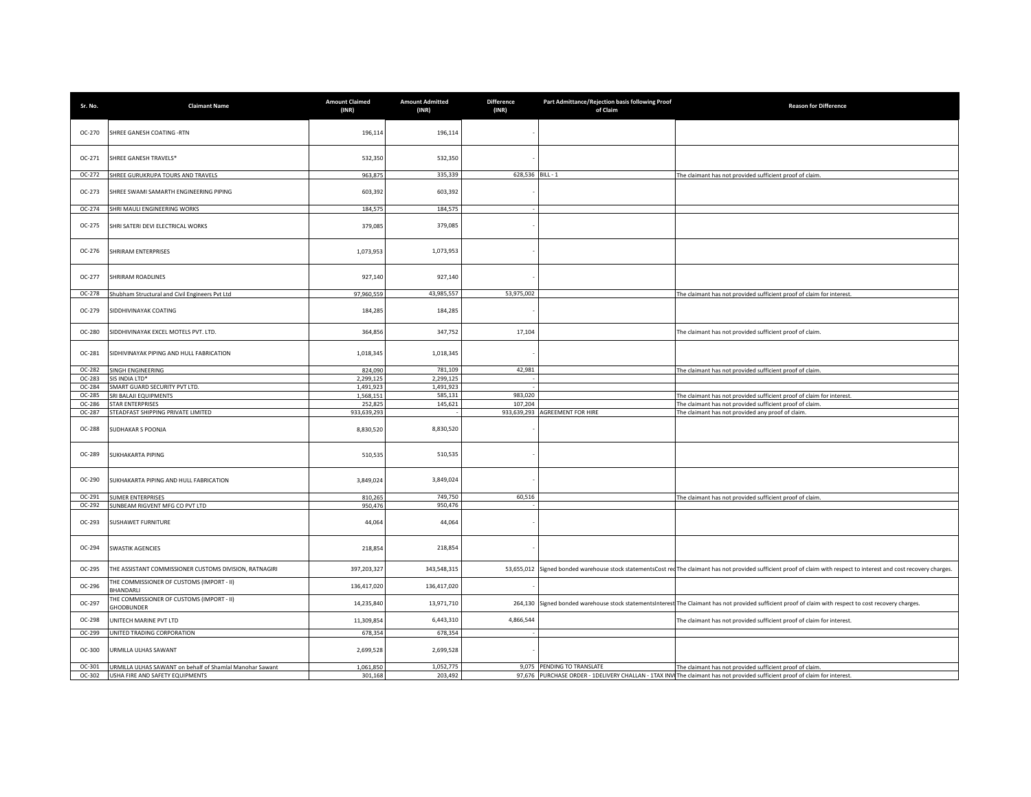| Sr. No. | <b>Claimant Name</b>                                     | <b>Amount Claimed</b><br>(INR) | <b>Amount Admitted</b><br>(INR) | <b>Difference</b><br>(INR) | Part Admittance/Rejection basis following Proof<br>of Claim | <b>Reason for Difference</b>                                                                                                                                            |
|---------|----------------------------------------------------------|--------------------------------|---------------------------------|----------------------------|-------------------------------------------------------------|-------------------------------------------------------------------------------------------------------------------------------------------------------------------------|
| OC-270  | SHREE GANESH COATING -RTN                                | 196,114                        | 196,114                         |                            |                                                             |                                                                                                                                                                         |
| OC-271  | SHREE GANESH TRAVELS*                                    | 532,350                        | 532,350                         |                            |                                                             |                                                                                                                                                                         |
| OC-272  | SHREE GURUKRUPA TOURS AND TRAVELS                        | 963,875                        | 335,339                         | 628,536 BILL - 1           |                                                             | The claimant has not provided sufficient proof of claim.                                                                                                                |
| OC-273  | SHREE SWAMI SAMARTH ENGINEERING PIPING                   | 603,392                        | 603,392                         |                            |                                                             |                                                                                                                                                                         |
| OC-274  | SHRI MAULI ENGINEERING WORKS                             | 184,575                        | 184,575                         |                            |                                                             |                                                                                                                                                                         |
| OC-275  | SHRI SATERI DEVI ELECTRICAL WORKS                        | 379,085                        | 379,085                         |                            |                                                             |                                                                                                                                                                         |
| OC-276  | SHRIRAM ENTERPRISES                                      | 1,073,953                      | 1,073,953                       |                            |                                                             |                                                                                                                                                                         |
| OC-277  | SHRIRAM ROADLINES                                        | 927,140                        | 927,140                         |                            |                                                             |                                                                                                                                                                         |
| OC-278  | Shubham Structural and Civil Engineers Pvt Ltd           | 97,960,559                     | 43,985,557                      | 53,975,002                 |                                                             | The claimant has not provided sufficient proof of claim for interest.                                                                                                   |
| OC-279  | SIDDHIVINAYAK COATING                                    | 184,285                        | 184,285                         |                            |                                                             |                                                                                                                                                                         |
| OC-280  | SIDDHIVINAYAK EXCEL MOTELS PVT. LTD.                     | 364,856                        | 347,752                         | 17,104                     |                                                             | The claimant has not provided sufficient proof of claim.                                                                                                                |
| OC-281  | SIDHIVINAYAK PIPING AND HULL FABRICATION                 | 1,018,345                      | 1,018,345                       |                            |                                                             |                                                                                                                                                                         |
| OC-282  | SINGH ENGINEERING                                        | 824,090                        | 781,109                         | 42,981                     |                                                             | The claimant has not provided sufficient proof of claim.                                                                                                                |
| OC-283  | SIS INDIA LTD*                                           | 2,299,125                      | 2,299,125                       |                            |                                                             |                                                                                                                                                                         |
| OC-284  | SMART GUARD SECURITY PVT LTD.                            | 1,491,923                      | 1,491,923                       |                            |                                                             |                                                                                                                                                                         |
| OC-285  | SRI BALAJI EQUIPMENTS                                    | 1,568,151                      | 585,131                         | 983,020                    |                                                             | The claimant has not provided sufficient proof of claim for interest.                                                                                                   |
| OC-286  | <b>STAR ENTERPRISES</b>                                  | 252,825                        | 145,621                         | 107,204                    |                                                             | The claimant has not provided sufficient proof of claim.                                                                                                                |
| OC-287  | STEADFAST SHIPPING PRIVATE LIMITED                       | 933,639,293                    |                                 |                            | 933,639,293 AGREEMENT FOR HIRE                              | The claimant has not provided any proof of claim.                                                                                                                       |
| OC-288  | SUDHAKAR S POONJA                                        | 8,830,520                      | 8,830,520                       |                            |                                                             |                                                                                                                                                                         |
| OC-289  | SUKHAKARTA PIPING                                        | 510,535                        | 510,535                         |                            |                                                             |                                                                                                                                                                         |
| OC-290  | SUKHAKARTA PIPING AND HULL FABRICATION                   | 3,849,024                      | 3,849,024                       |                            |                                                             |                                                                                                                                                                         |
| OC-291  | <b>SUMER ENTERPRISES</b>                                 | 810,265                        | 749,750                         | 60,516                     |                                                             | The claimant has not provided sufficient proof of claim.                                                                                                                |
| OC-292  | SUNBEAM RIGVENT MFG CO PVT LTD                           | 950,476                        | 950,476                         |                            |                                                             |                                                                                                                                                                         |
| OC-293  | SUSHAWET FURNITURE                                       | 44,064                         | 44,064                          |                            |                                                             |                                                                                                                                                                         |
| OC-294  | SWASTIK AGENCIES                                         | 218,854                        | 218,854                         |                            |                                                             |                                                                                                                                                                         |
| OC-295  | THE ASSISTANT COMMISSIONER CUSTOMS DIVISION, RATNAGIRI   | 397,203,327                    | 343,548,315                     |                            |                                                             | 53,655,012 Signed bonded warehouse stock statementsCost red The claimant has not provided sufficient proof of claim with respect to interest and cost recovery charges. |
| OC-296  | THE COMMISSIONER OF CUSTOMS (IMPORT - II)<br>BHANDARLI   | 136,417,020                    | 136,417,020                     |                            |                                                             |                                                                                                                                                                         |
| OC-297  | THE COMMISSIONER OF CUSTOMS (IMPORT - II)<br>HODBUNDER   | 14,235,840                     | 13,971,710                      |                            |                                                             | 264,130 Signed bonded warehouse stock statementsInterest The Claimant has not provided sufficient proof of claim with respect to cost recovery charges.                 |
| OC-298  | JNITECH MARINE PVT LTD                                   | 11,309,854                     | 6,443,310                       | 4,866,544                  |                                                             | The claimant has not provided sufficient proof of claim for interest.                                                                                                   |
| OC-299  | UNITED TRADING CORPORATION                               | 678,354                        | 678,354                         |                            |                                                             |                                                                                                                                                                         |
| OC-300  | URMILLA ULHAS SAWANT                                     | 2,699,528                      | 2,699,528                       |                            |                                                             |                                                                                                                                                                         |
| OC-301  | URMILLA ULHAS SAWANT on behalf of Shamlal Manohar Sawant | 1,061,850                      | 1,052,775                       |                            | 9,075 PENDING TO TRANSLATE                                  | The claimant has not provided sufficient proof of claim.                                                                                                                |
| OC-302  | USHA FIRE AND SAFETY EQUIPMENTS                          | 301,168                        | 203,492                         |                            |                                                             | 97,676 PURCHASE ORDER - 1DELIVERY CHALLAN - 1TAX INV The claimant has not provided sufficient proof of claim for interest.                                              |